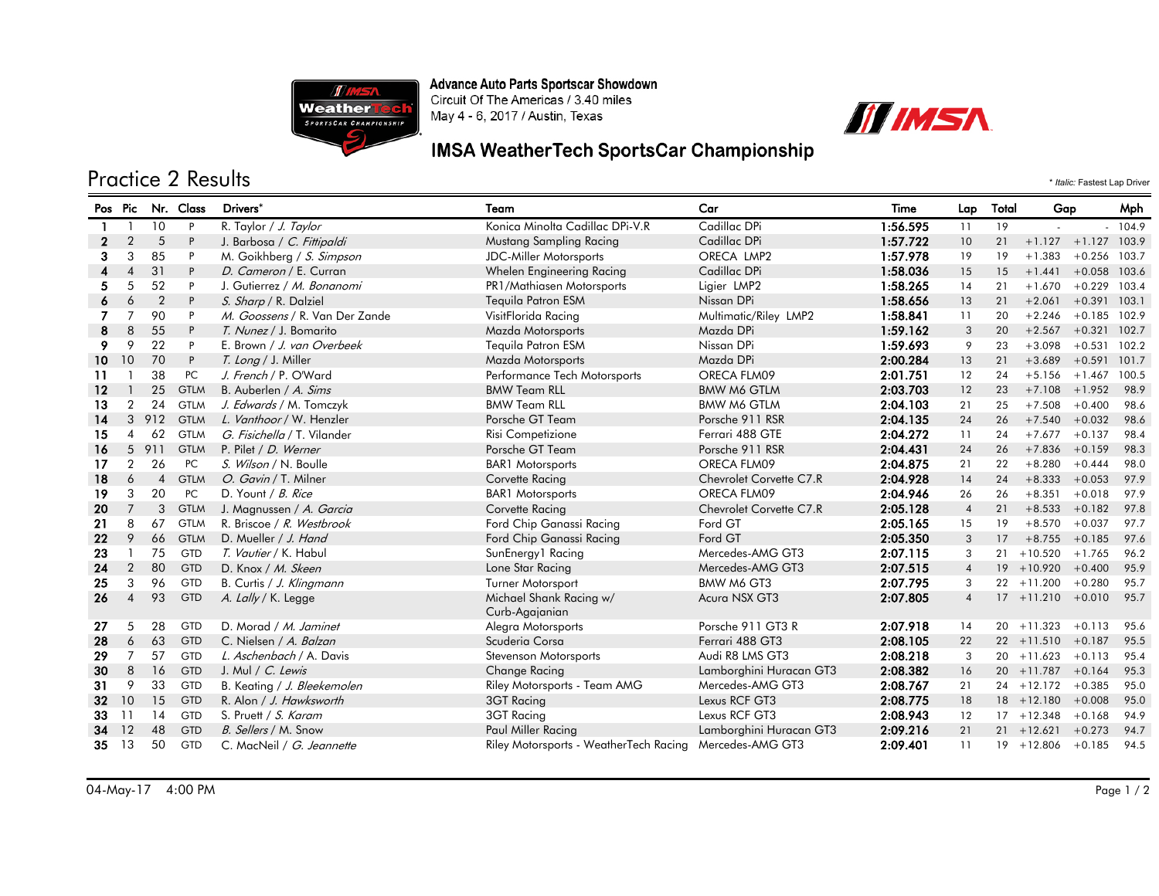

Advance Auto Parts Sportscar Showdown<br>Circuit Of The Americas / 3.40 miles May 4 - 6, 2017 / Austin, Texas

## IMSA WeatherTech SportsCar Championship



| <b>Practice 2 Results</b><br>* Italic: Fastest Lap Driver |                      |                |             |                                |                                           |                         |          |                |    |                        |                |          |  |  |  |  |                      |      |     |      |     |       |     |  |     |
|-----------------------------------------------------------|----------------------|----------------|-------------|--------------------------------|-------------------------------------------|-------------------------|----------|----------------|----|------------------------|----------------|----------|--|--|--|--|----------------------|------|-----|------|-----|-------|-----|--|-----|
|                                                           | Nr. Class<br>Pos Pic |                |             |                                |                                           |                         |          |                |    |                        |                |          |  |  |  |  | Drivers <sup>*</sup> | Team | Car | Time | Lap | Total | Gap |  | Mph |
| $\mathbf{1}$                                              |                      | 10             | P           | R. Taylor / J. Taylor          | Konica Minolta Cadillac DPi-V.R           | Cadillac DPi            | 1:56.595 | 11             | 19 | $\sim$                 |                | $-104.9$ |  |  |  |  |                      |      |     |      |     |       |     |  |     |
| $\mathbf{2}$                                              | $\overline{2}$       | 5              | P           | J. Barbosa / C. Fittipaldi     | Mustang Sampling Racing                   | Cadillac DPi            | 1:57.722 | 10             | 21 | $+1.127 + 1.127$ 103.9 |                |          |  |  |  |  |                      |      |     |      |     |       |     |  |     |
| 3                                                         | 3                    | 85             | P           | M. Goikhberg / S. Simpson      | <b>JDC-Miller Motorsports</b>             | ORECA LMP2              | 1:57.978 | 19             | 19 | $+1.383$               | $+0.256$ 103.7 |          |  |  |  |  |                      |      |     |      |     |       |     |  |     |
| 4                                                         | $\overline{4}$       | 31             | P           | D. Cameron / E. Curran         | Whelen Engineering Racing                 | Cadillac DPi            | 1:58.036 | 15             | 15 | $+1.441 + 0.058$ 103.6 |                |          |  |  |  |  |                      |      |     |      |     |       |     |  |     |
| 5                                                         | 5                    | 52             | P           | J. Gutierrez / M. Bonanomi     | PR1/Mathiasen Motorsports                 | Ligier LMP2             | 1:58.265 | 14             | 21 | $+1.670$               | $+0.229$ 103.4 |          |  |  |  |  |                      |      |     |      |     |       |     |  |     |
| 6                                                         | 6                    | $\overline{2}$ | P           | S. Sharp / R. Dalziel          | <b>Tequila Patron ESM</b>                 | Nissan DPi              | 1:58.656 | 13             | 21 | $+2.061$               | $+0.391$       | 103.1    |  |  |  |  |                      |      |     |      |     |       |     |  |     |
|                                                           | $\overline{7}$       | 90             | P           | M. Goossens / R. Van Der Zande | VisitFlorida Racing                       | Multimatic/Riley LMP2   | 1:58.841 | 11             | 20 | $+2.246$               | $+0.185$ 102.9 |          |  |  |  |  |                      |      |     |      |     |       |     |  |     |
| 8                                                         | 8                    | 55             | P           | T. Nunez / J. Bomarito         | Mazda Motorsports                         | Mazda DPi               | 1:59.162 | 3              | 20 | $+2.567 +0.321$        |                | 102.7    |  |  |  |  |                      |      |     |      |     |       |     |  |     |
| 9                                                         | 9                    | 22             | P           | E. Brown / J. van Overbeek     | Tequila Patron ESM                        | Nissan DPi              | 1:59.693 | 9              | 23 | $+3.098$               | $+0.531$       | 102.2    |  |  |  |  |                      |      |     |      |     |       |     |  |     |
| 10 <sup>°</sup>                                           | 10                   | 70             | P           | T. Long / J. Miller            | Mazda Motorsports                         | Mazda DPi               | 2:00.284 | 13             | 21 | $+3.689$               | $+0.591$       | 101.7    |  |  |  |  |                      |      |     |      |     |       |     |  |     |
| 11                                                        |                      | 38             | PC          | J. French / P. O'Ward          | Performance Tech Motorsports              | ORECA FLM09             | 2:01.751 | 12             | 24 | $+5.156$               | $+1.467$       | 100.5    |  |  |  |  |                      |      |     |      |     |       |     |  |     |
| 12                                                        |                      | 25             | <b>GTLM</b> | B. Auberlen / A. Sims          | <b>BMW Team RLL</b>                       | <b>BMW M6 GTLM</b>      | 2:03.703 | 12             | 23 | $+7.108$               | $+1.952$       | 98.9     |  |  |  |  |                      |      |     |      |     |       |     |  |     |
| 13                                                        | $\overline{2}$       | 24             | <b>GTLM</b> | J. Edwards / M. Tomczyk        | <b>BMW Team RLL</b>                       | <b>BMW M6 GTLM</b>      | 2:04.103 | 21             | 25 | $+7.508$               | $+0.400$       | 98.6     |  |  |  |  |                      |      |     |      |     |       |     |  |     |
| 14                                                        | 3                    | 912            | <b>GTLM</b> | L. Vanthoor / W. Henzler       | Porsche GT Team                           | Porsche 911 RSR         | 2:04.135 | 24             | 26 | $+7.540$               | $+0.032$       | 98.6     |  |  |  |  |                      |      |     |      |     |       |     |  |     |
| 15                                                        | $\overline{4}$       | 62             | <b>GTLM</b> | G. Fisichella / T. Vilander    | Risi Competizione                         | Ferrari 488 GTE         | 2:04.272 | 11             | 24 | $+7.677$               | $+0.137$       | 98.4     |  |  |  |  |                      |      |     |      |     |       |     |  |     |
| 16                                                        | 5                    | 911            | <b>GTLM</b> | P. Pilet / D. Werner           | Porsche GT Team                           | Porsche 911 RSR         | 2:04.431 | 24             | 26 | $+7.836$               | $+0.159$       | 98.3     |  |  |  |  |                      |      |     |      |     |       |     |  |     |
| 17                                                        | 2                    | 26             | PC          | S. Wilson / N. Boulle          | <b>BAR1</b> Motorsports                   | ORECA FLM09             | 2:04.875 | 21             | 22 | $+8.280$               | $+0.444$       | 98.0     |  |  |  |  |                      |      |     |      |     |       |     |  |     |
| 18                                                        | 6                    | $\overline{4}$ | <b>GTLM</b> | O. Gavin / T. Milner           | Corvette Racing                           | Chevrolet Corvette C7.R | 2:04.928 | 14             | 24 | $+8.333$               | $+0.053$       | 97.9     |  |  |  |  |                      |      |     |      |     |       |     |  |     |
| 19                                                        | 3                    | 20             | PC          | D. Yount / B. Rice             | <b>BAR1</b> Motorsports                   | ORECA FLM09             | 2:04.946 | 26             | 26 | $+8.351$               | $+0.018$       | 97.9     |  |  |  |  |                      |      |     |      |     |       |     |  |     |
| 20                                                        | $\overline{7}$       | 3              | <b>GTLM</b> | J. Magnussen / A. Garcia       | Corvette Racing                           | Chevrolet Corvette C7.R | 2:05.128 | $\overline{4}$ | 21 | $+8.533$               | $+0.182$       | 97.8     |  |  |  |  |                      |      |     |      |     |       |     |  |     |
| 21                                                        | 8                    | 67             | <b>GTLM</b> | R. Briscoe / R. Westbrook      | Ford Chip Ganassi Racing                  | Ford GT                 | 2:05.165 | 15             | 19 | $+8.570 + 0.037$       |                | 97.7     |  |  |  |  |                      |      |     |      |     |       |     |  |     |
| 22                                                        | 9                    | 66             | <b>GTLM</b> | D. Mueller / J. Hand           | Ford Chip Ganassi Racing                  | Ford GT                 | 2:05.350 | 3              | 17 | $+8.755 + 0.185$       |                | 97.6     |  |  |  |  |                      |      |     |      |     |       |     |  |     |
| 23                                                        |                      | 75             | <b>GTD</b>  | T. Vautier / K. Habul          | SunEnergy1 Racing                         | Mercedes-AMG GT3        | 2:07.115 | 3              | 21 | $+10.520$              | $+1.765$       | 96.2     |  |  |  |  |                      |      |     |      |     |       |     |  |     |
| 24                                                        | $\overline{2}$       | 80             | <b>GTD</b>  | D. Knox / M. Skeen             | Lone Star Racing                          | Mercedes-AMG GT3        | 2:07.515 | $\overline{4}$ |    | $19 + 10.920$          | $+0.400$       | 95.9     |  |  |  |  |                      |      |     |      |     |       |     |  |     |
| 25                                                        | 3                    | 96             | <b>GTD</b>  | B. Curtis / J. Klingmann       | Turner Motorsport                         | BMW M6 GT3              | 2:07.795 | 3              |    | $22 + 11.200$          | $+0.280$       | 95.7     |  |  |  |  |                      |      |     |      |     |       |     |  |     |
| 26                                                        | $\overline{4}$       | 93             | <b>GTD</b>  | A. Lally / K. Legge            | Michael Shank Racing w/<br>Curb-Agajanian | Acura NSX GT3           | 2:07.805 | $\overline{4}$ |    | $17 + 11.210 + 0.010$  |                | 95.7     |  |  |  |  |                      |      |     |      |     |       |     |  |     |
| 27                                                        | 5                    | 28             | <b>GTD</b>  | D. Morad / M. Jaminet          | Alegra Motorsports                        | Porsche 911 GT3 R       | 2:07.918 | 14             |    | $20 + 11.323$          | $+0.113$       | 95.6     |  |  |  |  |                      |      |     |      |     |       |     |  |     |
| 28                                                        | 6                    | 63             | <b>GTD</b>  | C. Nielsen / A. Balzan         | Scuderia Corsa                            | Ferrari 488 GT3         | 2:08.105 | 22             |    | $22 + 11.510 + 0.187$  |                | 95.5     |  |  |  |  |                      |      |     |      |     |       |     |  |     |
| 29                                                        | $\overline{7}$       | 57             | <b>GTD</b>  | L. Aschenbach / A. Davis       | Stevenson Motorsports                     | Audi R8 LMS GT3         | 2:08.218 | 3              |    | $20 + 11.623$          | $+0.113$       | 95.4     |  |  |  |  |                      |      |     |      |     |       |     |  |     |
| 30                                                        | 8                    | 16             | <b>GTD</b>  | J. Mul / C. Lewis              | Change Racing                             | Lamborghini Huracan GT3 | 2:08.382 | 16             |    | $20 + 11.787$          | $+0.164$       | 95.3     |  |  |  |  |                      |      |     |      |     |       |     |  |     |
| 31                                                        | 9                    | 33             | <b>GTD</b>  | B. Keating / J. Bleekemolen    | Riley Motorsports - Team AMG              | Mercedes-AMG GT3        | 2:08.767 | 21             |    | $24 + 12.172$          | $+0.385$       | 95.0     |  |  |  |  |                      |      |     |      |     |       |     |  |     |
| 32                                                        | 10                   | 15             | <b>GTD</b>  | R. Alon / J. Hawksworth        | <b>3GT Racing</b>                         | Lexus RCF GT3           | 2:08.775 | 18             |    | $18 + 12.180$          | $+0.008$       | 95.0     |  |  |  |  |                      |      |     |      |     |       |     |  |     |
| 33                                                        | 11                   | 14             | <b>GTD</b>  | S. Pruett / S. Karam           | 3GT Racing                                | Lexus RCF GT3           | 2:08.943 | 12             |    | $17 + 12.348$          | $+0.168$       | 94.9     |  |  |  |  |                      |      |     |      |     |       |     |  |     |
| 34                                                        | 12                   | 48             | <b>GTD</b>  | B. Sellers / M. Snow           | Paul Miller Racing                        | Lamborghini Huracan GT3 | 2:09.216 | 21             |    | $21 + 12.621$          | $+0.273$       | 94.7     |  |  |  |  |                      |      |     |      |     |       |     |  |     |
| 35                                                        | 13                   | 50             | GTD         | C. MacNeil / G. Jeannette      | Riley Motorsports - WeatherTech Racing    | Mercedes-AMG GT3        | 2:09.401 | 11             |    | $19 + 12.806$          | $+0.185$       | 94.5     |  |  |  |  |                      |      |     |      |     |       |     |  |     |